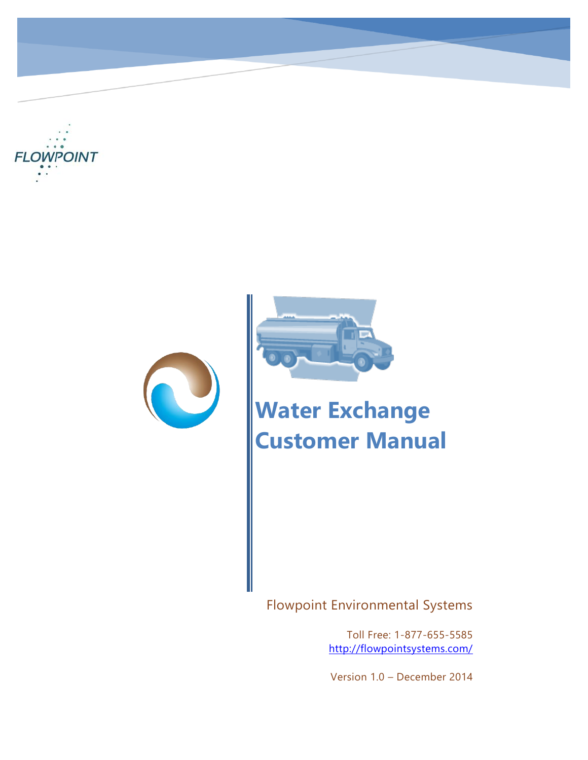





# **Water Exchange Customer Manual**

Flowpoint Environmental Systems

Toll Free: 1-877-655-5585 <http://flowpointsystems.com/>

Version 1.0 – December 2014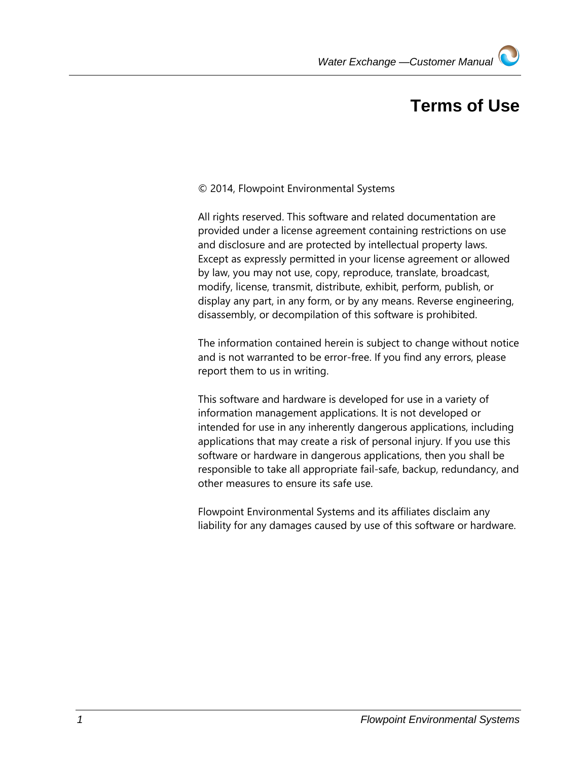## **Terms of Use**

#### © 2014, Flowpoint Environmental Systems

All rights reserved. This software and related documentation are provided under a license agreement containing restrictions on use and disclosure and are protected by intellectual property laws. Except as expressly permitted in your license agreement or allowed by law, you may not use, copy, reproduce, translate, broadcast, modify, license, transmit, distribute, exhibit, perform, publish, or display any part, in any form, or by any means. Reverse engineering, disassembly, or decompilation of this software is prohibited.

The information contained herein is subject to change without notice and is not warranted to be error-free. If you find any errors, please report them to us in writing.

This software and hardware is developed for use in a variety of information management applications. It is not developed or intended for use in any inherently dangerous applications, including applications that may create a risk of personal injury. If you use this software or hardware in dangerous applications, then you shall be responsible to take all appropriate fail-safe, backup, redundancy, and other measures to ensure its safe use.

Flowpoint Environmental Systems and its affiliates disclaim any liability for any damages caused by use of this software or hardware.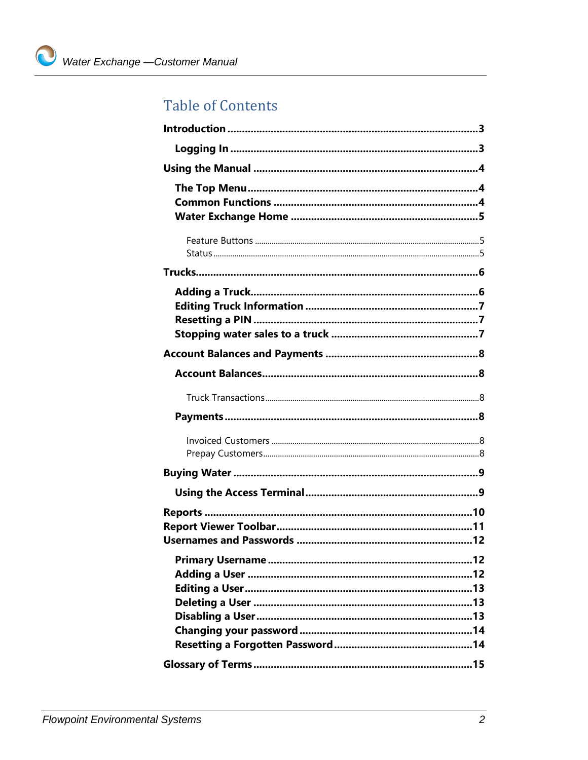## **Table of Contents**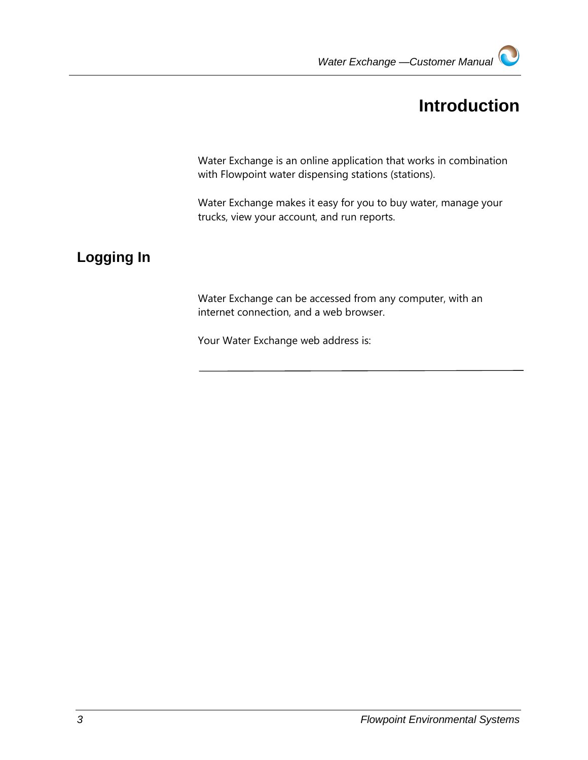## **Introduction**

<span id="page-3-0"></span>Water Exchange is an online application that works in combination with Flowpoint water dispensing stations (stations).

Water Exchange makes it easy for you to buy water, manage your trucks, view your account, and run reports.

## <span id="page-3-1"></span>**Logging In**

Water Exchange can be accessed from any computer, with an internet connection, and a web browser.

Your Water Exchange web address is: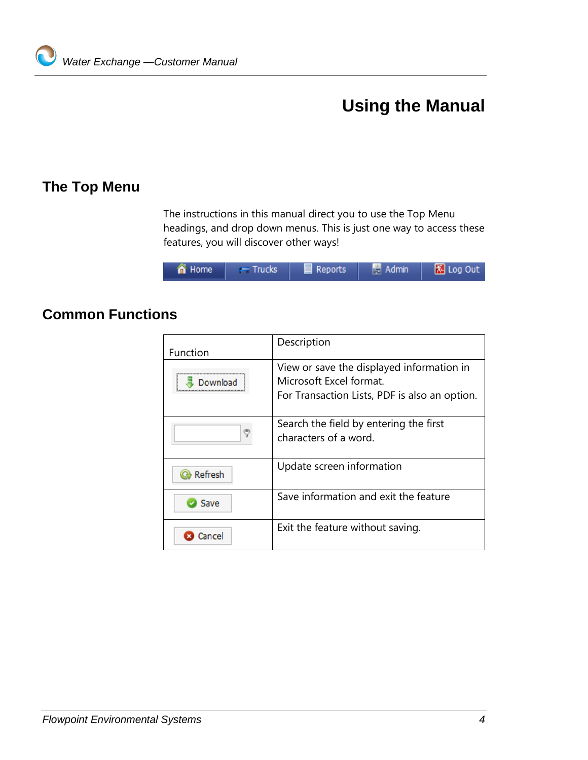## **Using the Manual**

### <span id="page-4-1"></span>**The Top Menu**

<span id="page-4-0"></span>The instructions in this manual direct you to use the Top Menu headings, and drop down menus. This is just one way to access these features, you will discover other ways!

| <u>the limit</u><br>  规   log Out<br><b>Admin</b><br>Reports<br>n Home<br><b>Trucks</b> |
|-----------------------------------------------------------------------------------------|
|-----------------------------------------------------------------------------------------|

## <span id="page-4-2"></span>**Common Functions**

| Function | Description                                                                                                           |
|----------|-----------------------------------------------------------------------------------------------------------------------|
| Download | View or save the displayed information in<br>Microsoft Excel format.<br>For Transaction Lists, PDF is also an option. |
|          | Search the field by entering the first<br>characters of a word.                                                       |
| Refresh  | Update screen information                                                                                             |
| Save     | Save information and exit the feature                                                                                 |
| ancel    | Exit the feature without saving.                                                                                      |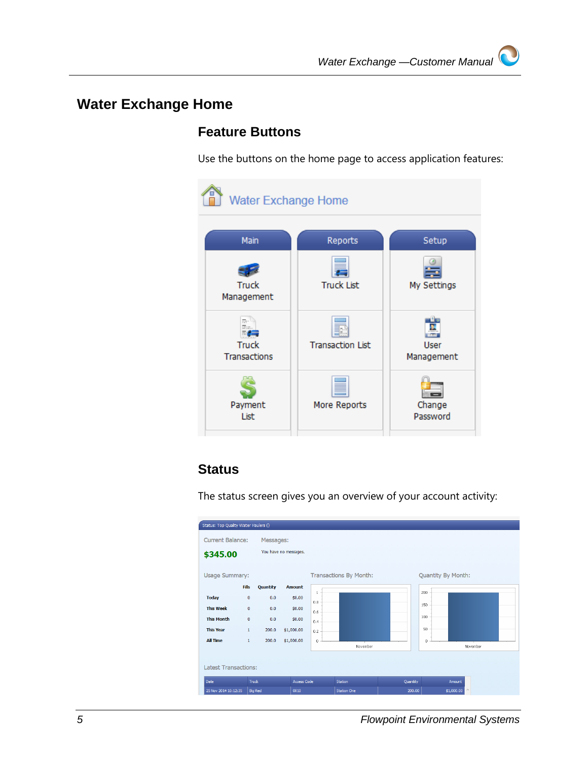## <span id="page-5-0"></span>**Water Exchange Home**

### <span id="page-5-1"></span>**Feature Buttons**

Use the buttons on the home page to access application features:

| <b>Water Exchange Home</b>   |                         |                           |  |  |
|------------------------------|-------------------------|---------------------------|--|--|
| Main                         | Reports                 | Setup                     |  |  |
| <b>Truck</b><br>Management   | <b>Truck List</b>       | My Settings               |  |  |
| <b>Truck</b><br>Transactions | <b>Transaction List</b> | <b>User</b><br>Management |  |  |
| Payment<br>List              | More Reports            | Change<br>Password        |  |  |

#### <span id="page-5-2"></span>**Status**

The status screen gives you an overview of your account activity:

| Status: Top Quality Water Haulers ()                                                                |                                                                          |                                     |                                                        |                                                            |                               |        |                                         |          |
|-----------------------------------------------------------------------------------------------------|--------------------------------------------------------------------------|-------------------------------------|--------------------------------------------------------|------------------------------------------------------------|-------------------------------|--------|-----------------------------------------|----------|
| <b>Current Balance:</b><br>\$345.00                                                                 |                                                                          | Messages:                           | You have no messages.                                  |                                                            |                               |        |                                         |          |
| <b>Usage Summary:</b>                                                                               | <b>Fills</b>                                                             | Quantity                            | <b>Amount</b>                                          |                                                            | <b>Transactions By Month:</b> |        | Quantity By Month:                      |          |
| <b>Today</b><br><b>This Week</b><br><b>This Month</b><br><b>This Year</b><br><b>All Time</b>        | $\bf{0}$<br>$\mathbf{0}$<br>$\mathbf{0}$<br>$\mathbf{1}$<br>$\mathbf{1}$ | 0.0<br>0.0<br>0.0<br>200.0<br>200.0 | \$0.00<br>\$0.00<br>\$0.00<br>\$1,000.00<br>\$1,000.00 | $\mathbf{1}$<br>0.8<br>0.6<br>0.4<br>0.2<br>$\overline{0}$ | November                      |        | 200<br>150<br>100<br>50<br>0            | November |
| <b>Latest Transactions:</b><br>Truck<br><b>Access Code</b><br>Quantity<br>Date<br>Station<br>Amount |                                                                          |                                     |                                                        |                                                            |                               |        |                                         |          |
| 25 Nov 2014 10:12:35                                                                                |                                                                          | <b>Big Red</b>                      | 0010                                                   |                                                            | <b>Station One</b>            | 200.00 | $\mathcal{O}_\mathcal{X}$<br>\$1,000.00 |          |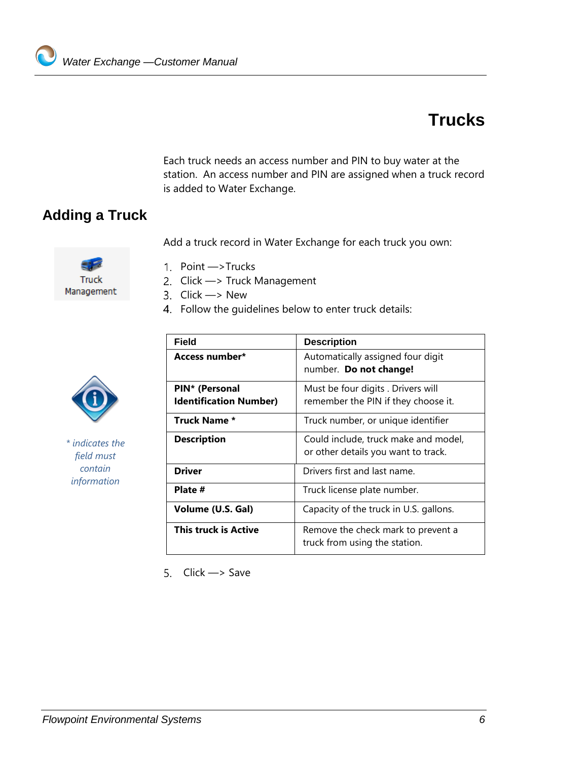## **Trucks**

<span id="page-6-0"></span>Each truck needs an access number and PIN to buy water at the station. An access number and PIN are assigned when a truck record is added to Water Exchange.

## <span id="page-6-1"></span>**Adding a Truck**

Add a truck record in Water Exchange for each truck you own:

Truck Management

- 1. Point -> Trucks
- 2. Click  $\longrightarrow$  Truck Management
- 3.  $Click \rightarrow New$
- Follow the guidelines below to enter truck details:

*\* indicates the field must contain information* 

| <b>Field</b>                                    | <b>Description</b>                                                          |
|-------------------------------------------------|-----------------------------------------------------------------------------|
| Access number*                                  | Automatically assigned four digit<br>number. Do not change!                 |
| PIN* (Personal<br><b>Identification Number)</b> | Must be four digits . Drivers will<br>remember the PIN if they choose it.   |
| <b>Truck Name *</b>                             | Truck number, or unique identifier                                          |
| <b>Description</b>                              | Could include, truck make and model,<br>or other details you want to track. |
| <b>Driver</b>                                   | Drivers first and last name.                                                |
| Plate #                                         | Truck license plate number.                                                 |
| Volume (U.S. Gal)                               | Capacity of the truck in U.S. gallons.                                      |
| This truck is Active                            | Remove the check mark to prevent a<br>truck from using the station.         |

5.  $Click \rightarrow Save$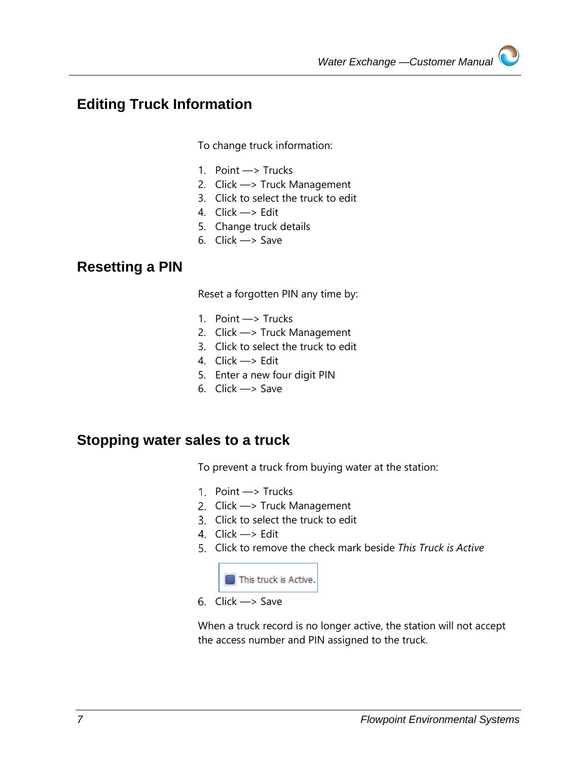### <span id="page-7-0"></span>**Editing Truck Information**

To change truck information:

- 1. Point —> Trucks
- 2. Click —> Truck Management
- 3. Click to select the truck to edit
- 4. Click —> Edit
- 5. Change truck details
- 6. Click —> Save

#### <span id="page-7-1"></span>**Resetting a PIN**

Reset a forgotten PIN any time by:

- 1. Point —> Trucks
- 2. Click —> Truck Management
- 3. Click to select the truck to edit
- 4. Click —> Edit
- 5. Enter a new four digit PIN
- 6. Click —> Save

#### <span id="page-7-2"></span>**Stopping water sales to a truck**

To prevent a truck from buying water at the station:

- 1. Point  $\longrightarrow$  Trucks
- 2. Click -> Truck Management
- Click to select the truck to edit
- 4.  $Click \rightarrow Edit$
- Click to remove the check mark beside *This Truck is Active*



6.  $Click \rightarrow Save$ 

When a truck record is no longer active, the station will not accept the access number and PIN assigned to the truck.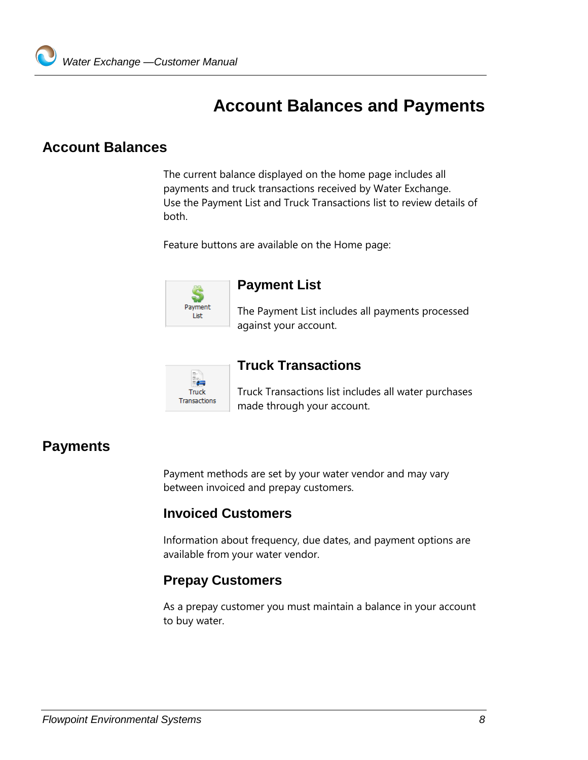## <span id="page-8-0"></span>**Account Balances and Payments**

### <span id="page-8-1"></span>**Account Balances**

The current balance displayed on the home page includes all payments and truck transactions received by Water Exchange. Use the Payment List and Truck Transactions list to review details of both.

Feature buttons are available on the Home page:



#### **Payment List**

The Payment List includes all payments processed against your account.



#### <span id="page-8-2"></span>**Truck Transactions**

Truck Transactions list includes all water purchases made through your account.

### <span id="page-8-3"></span>**Payments**

Payment methods are set by your water vendor and may vary between invoiced and prepay customers.

#### <span id="page-8-4"></span>**Invoiced Customers**

Information about frequency, due dates, and payment options are available from your water vendor.

#### <span id="page-8-5"></span>**Prepay Customers**

As a prepay customer you must maintain a balance in your account to buy water.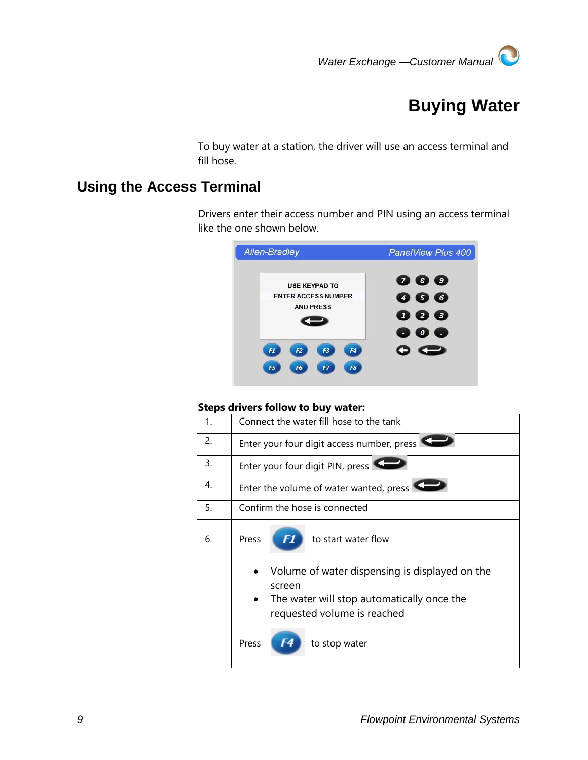## **Buying Water**

<span id="page-9-0"></span>To buy water at a station, the driver will use an access terminal and fill hose.

### <span id="page-9-1"></span>**Using the Access Terminal**

Drivers enter their access number and PIN using an access terminal like the one shown below.

| <b>Allen-Bradley</b>                                                                                                                                       | PanelView Plus 400                                                                                                      |
|------------------------------------------------------------------------------------------------------------------------------------------------------------|-------------------------------------------------------------------------------------------------------------------------|
| <b>USE KEYPAD TO</b><br><b>ENTER ACCESS NUMBER</b><br><b>AND PRESS</b><br>F3<br>F <sub>1</sub><br>F <sub>2</sub><br>F4<br>F7<br>F <sub>6</sub><br>F8<br>F5 | $\bullet$ $\bullet$ $\bullet$<br>6<br>$\bullet$<br>$\overline{4}$<br><b>28</b><br>$\mathbf{I}$<br>$\boldsymbol{0}$<br>٠ |

#### **Steps drivers follow to buy water:**

| 1. | Connect the water fill hose to the tank                                                                                               |  |  |  |  |
|----|---------------------------------------------------------------------------------------------------------------------------------------|--|--|--|--|
| 2. | Enter your four digit access number, press                                                                                            |  |  |  |  |
| 3. | Enter your four digit PIN, press                                                                                                      |  |  |  |  |
| 4. | Enter the volume of water wanted, press                                                                                               |  |  |  |  |
| 5. | Confirm the hose is connected                                                                                                         |  |  |  |  |
| 6. | Press<br>F1<br>to start water flow                                                                                                    |  |  |  |  |
|    | Volume of water dispensing is displayed on the<br>screen<br>The water will stop automatically once the<br>requested volume is reached |  |  |  |  |
|    | Press<br>to stop water                                                                                                                |  |  |  |  |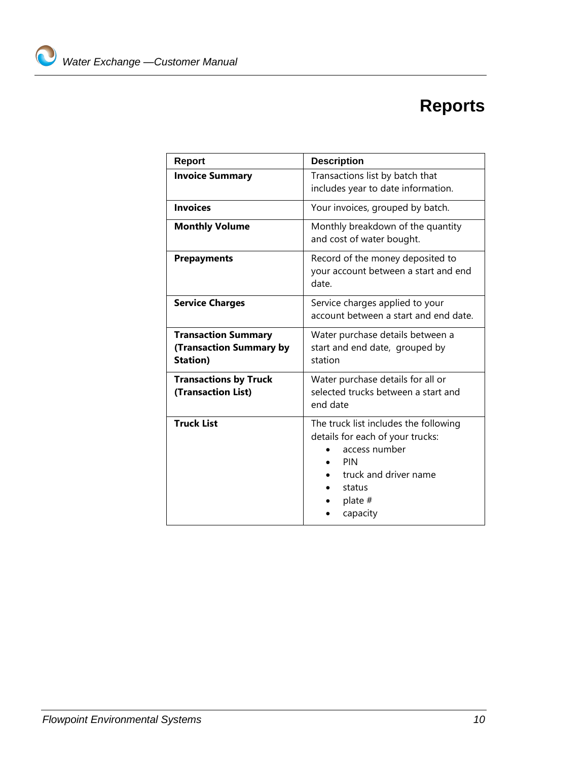## **Reports**

<span id="page-10-0"></span>

| <b>Report</b>                                                            | <b>Description</b>                                                                                                                                            |  |  |
|--------------------------------------------------------------------------|---------------------------------------------------------------------------------------------------------------------------------------------------------------|--|--|
| <b>Invoice Summary</b>                                                   | Transactions list by batch that<br>includes year to date information.                                                                                         |  |  |
| <b>Invoices</b>                                                          | Your invoices, grouped by batch.                                                                                                                              |  |  |
| <b>Monthly Volume</b>                                                    | Monthly breakdown of the quantity<br>and cost of water bought.                                                                                                |  |  |
| <b>Prepayments</b>                                                       | Record of the money deposited to<br>your account between a start and end<br>date.                                                                             |  |  |
| <b>Service Charges</b>                                                   | Service charges applied to your<br>account between a start and end date.                                                                                      |  |  |
| <b>Transaction Summary</b><br>(Transaction Summary by<br><b>Station)</b> | Water purchase details between a<br>start and end date, grouped by<br>station                                                                                 |  |  |
| <b>Transactions by Truck</b><br>(Transaction List)                       | Water purchase details for all or<br>selected trucks between a start and<br>end date                                                                          |  |  |
| <b>Truck List</b>                                                        | The truck list includes the following<br>details for each of your trucks:<br>access number<br>PIN<br>truck and driver name<br>status<br>plate $#$<br>capacity |  |  |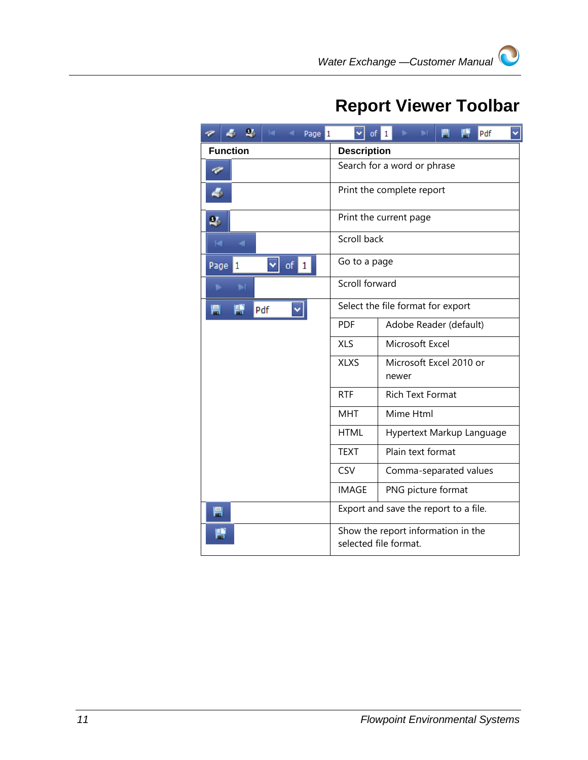## <span id="page-11-0"></span>**Report Viewer Toolbar**

| $\mathbf{Q}_1$<br>$14 - 4$<br>Page 1 | of                          | 閂<br>冃<br>×<br>ь<br>$\blacktriangleright$ T<br>Pdf<br>1     |  |
|--------------------------------------|-----------------------------|-------------------------------------------------------------|--|
| <b>Function</b>                      | <b>Description</b>          |                                                             |  |
| c                                    | Search for a word or phrase |                                                             |  |
| 4                                    |                             | Print the complete report                                   |  |
| $\mathbf{Q}_1$                       |                             | Print the current page                                      |  |
| T-1<br>Æ                             | Scroll back                 |                                                             |  |
| of 1<br>Page<br>1                    | Go to a page                |                                                             |  |
| ы<br>ь                               | Scroll forward              |                                                             |  |
| 厝<br>冃<br>Pdf                        |                             | Select the file format for export                           |  |
|                                      | <b>PDF</b>                  | Adobe Reader (default)                                      |  |
|                                      | <b>XLS</b>                  | Microsoft Excel                                             |  |
|                                      | <b>XLXS</b>                 | Microsoft Excel 2010 or<br>newer                            |  |
|                                      | <b>RTF</b>                  | <b>Rich Text Format</b>                                     |  |
|                                      | <b>MHT</b>                  | Mime Html                                                   |  |
|                                      | <b>HTML</b>                 | Hypertext Markup Language                                   |  |
|                                      | <b>TEXT</b>                 | Plain text format                                           |  |
|                                      | CSV                         | Comma-separated values                                      |  |
|                                      | <b>IMAGE</b>                | PNG picture format                                          |  |
| 冃                                    |                             | Export and save the report to a file.                       |  |
| 閂                                    |                             | Show the report information in the<br>selected file format. |  |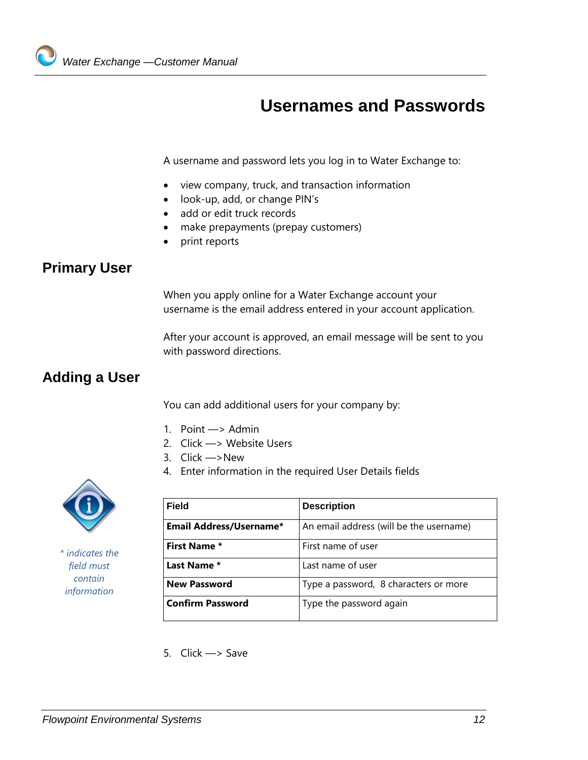## **Usernames and Passwords**

<span id="page-12-0"></span>A username and password lets you log in to Water Exchange to:

- view company, truck, and transaction information
- look-up, add, or change PIN's
- add or edit truck records
- make prepayments (prepay customers)
- print reports

### <span id="page-12-1"></span>**Primary User**

When you apply online for a Water Exchange account your username is the email address entered in your account application.

After your account is approved, an email message will be sent to you with password directions.

### <span id="page-12-2"></span>**Adding a User**

You can add additional users for your company by:

- 1. Point —> Admin
- 2. Click —> Website Users
- 3. Click —>New
- 4. Enter information in the required User Details fields



*\* indicates the field must contain information* 

| Field                   | <b>Description</b>                      |
|-------------------------|-----------------------------------------|
| Email Address/Username* | An email address (will be the username) |
| <b>First Name *</b>     | First name of user                      |
| Last Name *             | Last name of user                       |
| <b>New Password</b>     | Type a password, 8 characters or more   |
| <b>Confirm Password</b> | Type the password again                 |

5. Click —> Save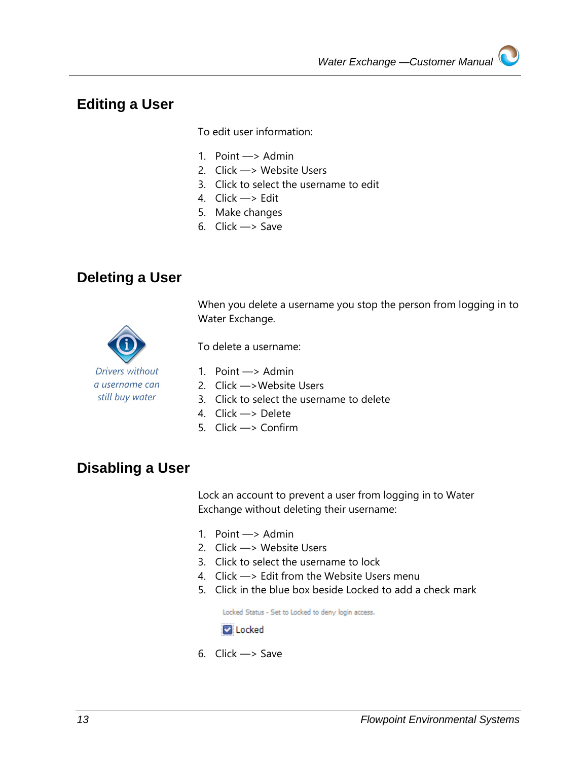### <span id="page-13-0"></span>**Editing a User**

To edit user information:

- 1. Point —> Admin
- 2. Click —> Website Users
- 3. Click to select the username to edit
- 4. Click —> Edit
- 5. Make changes
- 6. Click —> Save

### <span id="page-13-1"></span>**Deleting a User**

When you delete a username you stop the person from logging in to Water Exchange.



To delete a username:

- 1. Point —> Admin
- 2. Click —>Website Users
- 3. Click to select the username to delete
- 4. Click —> Delete
- 5. Click —> Confirm

### <span id="page-13-2"></span>**Disabling a User**

Lock an account to prevent a user from logging in to Water Exchange without deleting their username:

- 1. Point —> Admin
- 2. Click —> Website Users
- 3. Click to select the username to lock
- 4. Click —> Edit from the Website Users menu
- 5. Click in the blue box beside Locked to add a check mark

Locked Status - Set to Locked to deny login access.

**Z** Locked

6. Click —> Save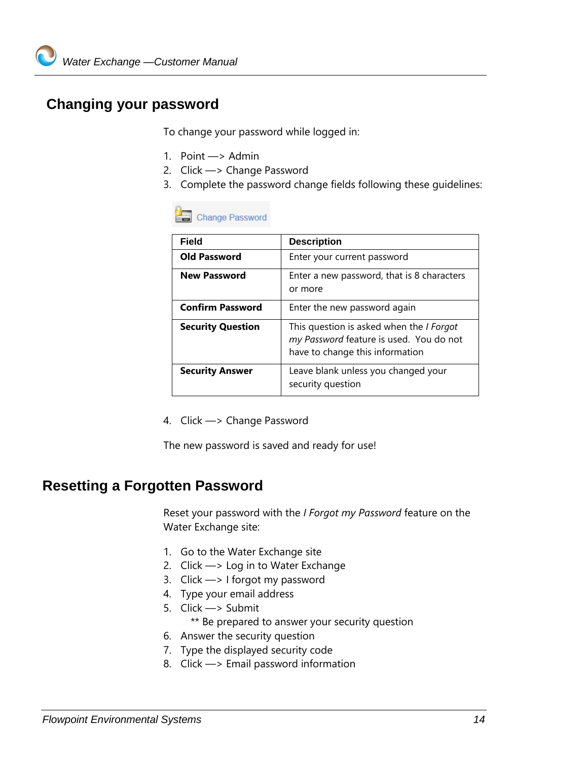## <span id="page-14-0"></span>**Changing your password**

To change your password while logged in:

- 1. Point —> Admin
- 2. Click —> Change Password
- 3. Complete the password change fields following these guidelines:

#### **Change Password**

| <b>Field</b>             | <b>Description</b>                                                                                                            |
|--------------------------|-------------------------------------------------------------------------------------------------------------------------------|
| <b>Old Password</b>      | Enter your current password                                                                                                   |
| <b>New Password</b>      | Enter a new password, that is 8 characters<br>or more                                                                         |
| <b>Confirm Password</b>  | Enter the new password again                                                                                                  |
| <b>Security Question</b> | This question is asked when the <i>I Forgot</i><br>my Password feature is used. You do not<br>have to change this information |
| <b>Security Answer</b>   | Leave blank unless you changed your<br>security question                                                                      |

4. Click —> Change Password

The new password is saved and ready for use!

#### <span id="page-14-1"></span>**Resetting a Forgotten Password**

Reset your password with the *I Forgot my Password* feature on the Water Exchange site:

- 1. Go to the Water Exchange site
- 2. Click —> Log in to Water Exchange
- 3. Click —> I forgot my password
- 4. Type your email address
- 5. Click —> Submit

\*\* Be prepared to answer your security question

- 6. Answer the security question
- 7. Type the displayed security code
- 8. Click —> Email password information